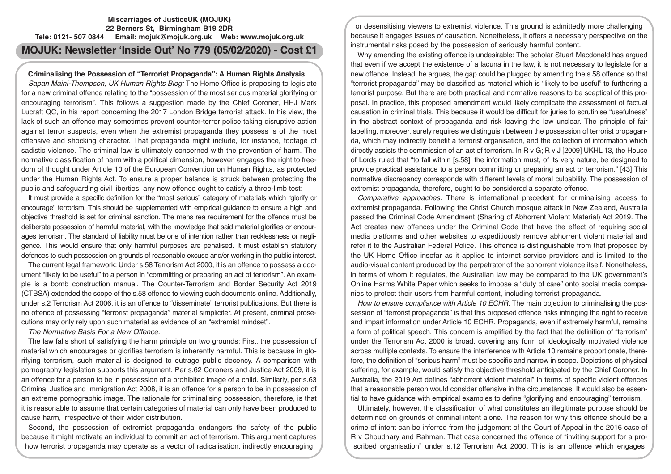## **Miscarriages of JusticeUK (MOJUK) 22 Berners St, Birmingham B19 2DR Tele: 0121- 507 0844 Email: mojuk@mojuk.org.uk Web: www.mojuk.org.uk**

# **MOJUK: Newsletter 'Inside Out' No 779 (05/02/2020) - Cost £1**

## **Criminalising the Possession of "Terrorist Propaganda": A Human Rights Analysis**

Sapan Maini-Thompson, UK Human Rights Blog: The Home Office is proposing to legislate for a new criminal offence relating to the "possession of the most serious material glorifying or encouraging terrorism". This follows a suggestion made by the Chief Coroner, HHJ Mark Lucraft QC, in his report concerning the 2017 London Bridge terrorist attack. In his view, the lack of such an offence may sometimes prevent counter-terror police taking disruptive action against terror suspects, even when the extremist propaganda they possess is of the most offensive and shocking character. That propaganda might include, for instance, footage of sadistic violence. The criminal law is ultimately concerned with the prevention of harm. The normative classification of harm with a political dimension, however, engages the right to freedom of thought under Article 10 of the European Convention on Human Rights, as protected under the Human Rights Act. To ensure a proper balance is struck between protecting the public and safeguarding civil liberties, any new offence ought to satisfy a three-limb test:

It must provide a specific definition for the "most serious" category of materials which "glorify or encourage" terrorism. This should be supplemented with empirical guidance to ensure a high and objective threshold is set for criminal sanction. The mens rea requirement for the offence must be deliberate possession of harmful material, with the knowledge that said material glorifies or encourages terrorism. The standard of liability must be one of intention rather than recklessness or negligence. This would ensure that only harmful purposes are penalised. It must establish statutory defences to such possession on grounds of reasonable excuse and/or working in the public interest.

The current legal framework: Under s.58 Terrorism Act 2000, it is an offence to possess a document "likely to be useful" to a person in "committing or preparing an act of terrorism". An example is a bomb construction manual. The Counter-Terrorism and Border Security Act 2019 (CTBSA) extended the scope of the s.58 offence to viewing such documents online. Additionally, under s.2 Terrorism Act 2006, it is an offence to "disseminate" terrorist publications. But there is no offence of possessing "terrorist propaganda" material simpliciter. At present, criminal prosecutions may only rely upon such material as evidence of an "extremist mindset".

The Normative Basis For a New Offence.

The law falls short of satisfying the harm principle on two grounds: First, the possession of material which encourages or glorifies terrorism is inherently harmful. This is because in glorifying terrorism, such material is designed to outrage public decency. A comparison with pornography legislation supports this argument. Per s.62 Coroners and Justice Act 2009, it is an offence for a person to be in possession of a prohibited image of a child. Similarly, per s.63 Criminal Justice and Immigration Act 2008, it is an offence for a person to be in possession of an extreme pornographic image. The rationale for criminalising possession, therefore, is that it is reasonable to assume that certain categories of material can only have been produced to cause harm, irrespective of their wider distribution.

Second, the possession of extremist propaganda endangers the safety of the public because it might motivate an individual to commit an act of terrorism. This argument captures how terrorist propaganda may operate as a vector of radicalisation, indirectly encouraging

or desensitising viewers to extremist violence. This ground is admittedly more challenging because it engages issues of causation. Nonetheless, it offers a necessary perspective on the instrumental risks posed by the possession of seriously harmful content.

Why amending the existing offence is undesirable: The scholar Stuart Macdonald has argued that even if we accept the existence of a lacuna in the law, it is not necessary to legislate for a new offence. Instead, he argues, the gap could be plugged by amending the s.58 offence so that "terrorist propaganda" may be classified as material which is "likely to be useful" to furthering a terrorist purpose. But there are both practical and normative reasons to be sceptical of this proposal. In practice, this proposed amendment would likely complicate the assessment of factual causation in criminal trials. This because it would be difficult for juries to scrutinise "usefulness" in the abstract context of propaganda and risk leaving the law unclear. The principle of fair labelling, moreover, surely requires we distinguish between the possession of terrorist propaganda, which may indirectly benefit a terrorist organisation, and the collection of information which directly assists the commission of an act of terrorism. In R v G; R v J [2009] UKHL 13, the House of Lords ruled that "to fall within [s.58], the information must, of its very nature, be designed to provide practical assistance to a person committing or preparing an act or terrorism." [43] This normative discrepancy corresponds with different levels of moral culpability. The possession of extremist propaganda, therefore, ought to be considered a separate offence.

Comparative approaches: There is international precedent for criminalising access to extremist propaganda. Following the Christ Church mosque attack in New Zealand, Australia passed the Criminal Code Amendment (Sharing of Abhorrent Violent Material) Act 2019. The Act creates new offences under the Criminal Code that have the effect of requiring social media platforms and other websites to expeditiously remove abhorrent violent material and refer it to the Australian Federal Police. This offence is distinguishable from that proposed by the UK Home Office insofar as it applies to internet service providers and is limited to the audio-visual content produced by the perpetrator of the abhorrent violence itself. Nonetheless, in terms of whom it regulates, the Australian law may be compared to the UK government's Online Harms White Paper which seeks to impose a "duty of care" onto social media companies to protect their users from harmful content, including terrorist propaganda.

How to ensure compliance with Article 10 ECHR: The main objection to criminalising the possession of "terrorist propaganda" is that this proposed offence risks infringing the right to receive and impart information under Article 10 ECHR. Propaganda, even if extremely harmful, remains a form of political speech. This concern is amplified by the fact that the definition of "terrorism" under the Terrorism Act 2000 is broad, covering any form of ideologically motivated violence across multiple contexts. To ensure the interference with Article 10 remains proportionate, therefore, the definition of "serious harm" must be specific and narrow in scope. Depictions of physical suffering, for example, would satisfy the objective threshold anticipated by the Chief Coroner. In Australia, the 2019 Act defines "abhorrent violent material" in terms of specific violent offences that a reasonable person would consider offensive in the circumstances. It would also be essential to have guidance with empirical examples to define "glorifying and encouraging" terrorism.

Ultimately, however, the classification of what constitutes an illegitimate purpose should be determined on grounds of criminal intent alone. The reason for why this offence should be a crime of intent can be inferred from the judgement of the Court of Appeal in the 2016 case of R v Choudhary and Rahman. That case concerned the offence of "inviting support for a proscribed organisation" under s.12 Terrorism Act 2000. This is an offence which engages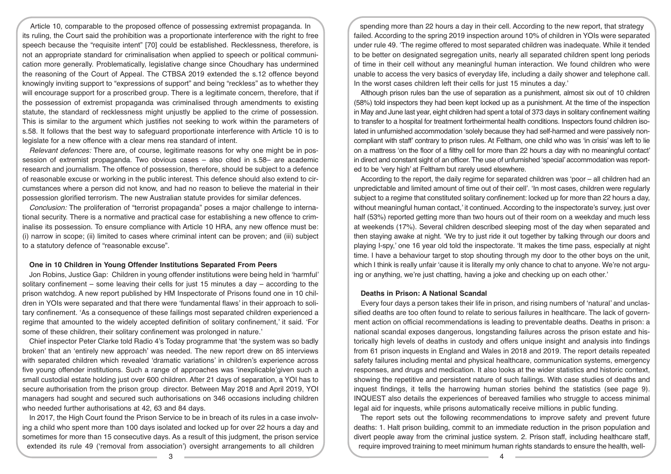Article 10, comparable to the proposed offence of possessing extremist propaganda. In its ruling, the Court said the prohibition was a proportionate interference with the right to free speech because the "requisite intent" [70] could be established. Recklessness, therefore, is not an appropriate standard for criminalisation when applied to speech or political communication more generally. Problematically, legislative change since Choudhary has undermined the reasoning of the Court of Appeal. The CTBSA 2019 extended the s.12 offence beyond knowingly inviting support to "expressions of support" and being "reckless" as to whether they will encourage support for a proscribed group. There is a legitimate concern, therefore, that if the possession of extremist propaganda was criminalised through amendments to existing statute, the standard of recklessness might unjustly be applied to the crime of possession. This is similar to the argument which justifies not seeking to work within the parameters of s.58. It follows that the best way to safeguard proportionate interference with Article 10 is to legislate for a new offence with a clear mens rea standard of intent.

Relevant defences: There are, of course, legitimate reasons for why one might be in possession of extremist propaganda. Two obvious cases – also cited in s.58– are academic research and journalism. The offence of possession, therefore, should be subject to a defence of reasonable excuse or working in the public interest. This defence should also extend to circumstances where a person did not know, and had no reason to believe the material in their possession glorified terrorism. The new Australian statute provides for similar defences.

Conclusion: The proliferation of "terrorist propaganda" poses a major challenge to international security. There is a normative and practical case for establishing a new offence to criminalise its possession. To ensure compliance with Article 10 HRA, any new offence must be: (i) narrow in scope; (ii) limited to cases where criminal intent can be proven; and (iii) subject to a statutory defence of "reasonable excuse".

#### **One in 10 Children in Young Offender Institutions Separated From Peers**

Jon Robins, Justice Gap: Children in young offender institutions were being held in 'harmful' solitary confinement – some leaving their cells for just 15 minutes a day – according to the prison watchdog. A new report published by HM Inspectorate of Prisons found one in 10 children in YOIs were separated and that there were 'fundamental flaws' in their approach to solitary confinement. 'As a consequence of these failings most separated children experienced a regime that amounted to the widely accepted definition of solitary confinement,' it said. 'For some of these children, their solitary confinement was prolonged in nature.'

Chief inspector Peter Clarke told Radio 4's Today programme that 'the system was so badly broken' that an 'entirely new approach' was needed. The new report drew on 85 interviews with separated children which revealed 'dramatic variations' in children's experience across five young offender institutions. Such a range of approaches was 'inexplicable'given such a small custodial estate holding just over 600 children. After 21 days of separation, a YOI has to secure authorisation from the prison group director. Between May 2018 and April 2019, YOI managers had sought and secured such authorisations on 346 occasions including children who needed further authorisations at 42, 63 and 84 days.

In 2017, the High Court found the Prison Service to be in breach of its rules in a case involving a child who spent more than 100 days isolated and locked up for over 22 hours a day and sometimes for more than 15 consecutive days. As a result of this judgment, the prison service extended its rule 49 ('removal from association') oversight arrangements to all children

spending more than 22 hours a day in their cell. According to the new report, that strategy failed. According to the spring 2019 inspection around 10% of children in YOIs were separated under rule 49. 'The regime offered to most separated children was inadequate. While it tended to be better on designated segregation units, nearly all separated children spent long periods of time in their cell without any meaningful human interaction. We found children who were unable to access the very basics of everyday life, including a daily shower and telephone call. In the worst cases children left their cells for just 15 minutes a day.'

Although prison rules ban the use of separation as a punishment, almost six out of 10 children (58%) told inspectors they had been kept locked up as a punishment. At the time of the inspection in May and June last year, eight children had spent a total of 373 days in solitary confinement waiting to transfer to a hospital for treatment fortheirmental health conditions. Inspectors found children isolated in unfurnished accommodation 'solely because they had self-harmed and were passively noncompliant with staff' contrary to prison rules. At Feltham, one child who was 'in crisis' was left to lie on a mattress 'on the floor of a filthy cell for more than 22 hours a day with no meaningful contact' in direct and constant sight of an officer. The use of unfurnished 'special' accommodation was reported to be 'very high' at Feltham but rarely used elsewhere.

According to the report, the daily regime for separated children was 'poor – all children had an unpredictable and limited amount of time out of their cell'. 'In most cases, children were regularly subject to a regime that constituted solitary confinement: locked up for more than 22 hours a day, without meaningful human contact,' it continued. According to the inspectorate's survey, just over half (53%) reported getting more than two hours out of their room on a weekday and much less at weekends (17%). Several children described sleeping most of the day when separated and then staying awake at night. 'We try to just ride it out together by talking through our doors and playing I-spy,' one 16 year old told the inspectorate. 'It makes the time pass, especially at night time. I have a behaviour target to stop shouting through my door to the other boys on the unit, which I think is really unfair 'cause it is literally my only chance to chat to anyone. We're not arguing or anything, we're just chatting, having a joke and checking up on each other.'

## **Deaths in Prison: A National Scandal**

Every four days a person takes their life in prison, and rising numbers of 'natural' and unclassified deaths are too often found to relate to serious failures in healthcare. The lack of government action on official recommendations is leading to preventable deaths. Deaths in prison: a national scandal exposes dangerous, longstanding failures across the prison estate and historically high levels of deaths in custody and offers unique insight and analysis into findings from 61 prison inquests in England and Wales in 2018 and 2019. The report details repeated safety failures including mental and physical healthcare, communication systems, emergency responses, and drugs and medication. It also looks at the wider statistics and historic context, showing the repetitive and persistent nature of such failings. With case studies of deaths and inquest findings, it tells the harrowing human stories behind the statistics (see page 9). INQUEST also details the experiences of bereaved families who struggle to access minimal legal aid for inquests, while prisons automatically receive millions in public funding.

The report sets out the following recommendations to improve safety and prevent future deaths: 1. Halt prison building, commit to an immediate reduction in the prison population and divert people away from the criminal justice system. 2. Prison staff, including healthcare staff, require improved training to meet minimum human rights standards to ensure the health, well-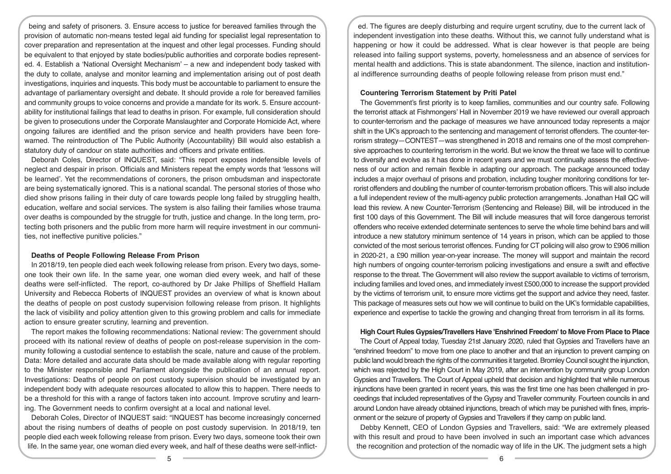being and safety of prisoners. 3. Ensure access to justice for bereaved families through the provision of automatic non-means tested legal aid funding for specialist legal representation to cover preparation and representation at the inquest and other legal processes. Funding should be equivalent to that enjoyed by state bodies/public authorities and corporate bodies represented. 4. Establish a 'National Oversight Mechanism' – a new and independent body tasked with the duty to collate, analyse and monitor learning and implementation arising out of post death investigations, inquiries and inquests. This body must be accountable to parliament to ensure the advantage of parliamentary oversight and debate. It should provide a role for bereaved families and community groups to voice concerns and provide a mandate for its work. 5. Ensure accountability for institutional failings that lead to deaths in prison. For example, full consideration should be given to prosecutions under the Corporate Manslaughter and Corporate Homicide Act, where ongoing failures are identified and the prison service and health providers have been forewarned. The reintroduction of The Public Authority (Accountability) Bill would also establish a statutory duty of candour on state authorities and officers and private entities.

Deborah Coles, Director of INQUEST, said: "This report exposes indefensible levels of neglect and despair in prison. Officials and Ministers repeat the empty words that 'lessons will be learned'. Yet the recommendations of coroners, the prison ombudsman and inspectorate are being systematically ignored. This is a national scandal. The personal stories of those who died show prisons failing in their duty of care towards people long failed by struggling health, education, welfare and social services. The system is also failing their families whose trauma over deaths is compounded by the struggle for truth, justice and change. In the long term, protecting both prisoners and the public from more harm will require investment in our communities, not ineffective punitive policies."

## **Deaths of People Following Release From Prison**

In 2018/19, ten people died each week following release from prison. Every two days, someone took their own life. In the same year, one woman died every week, and half of these deaths were self-inflicted. The report, co-authored by Dr Jake Phillips of Sheffield Hallam University and Rebecca Roberts of INQUEST provides an overview of what is known about the deaths of people on post custody supervision following release from prison. It highlights the lack of visibility and policy attention given to this growing problem and calls for immediate action to ensure greater scrutiny, learning and prevention.

The report makes the following recommendations: National review: The government should proceed with its national review of deaths of people on post-release supervision in the community following a custodial sentence to establish the scale, nature and cause of the problem. Data: More detailed and accurate data should be made available along with regular reporting to the Minister responsible and Parliament alongside the publication of an annual report. Investigations: Deaths of people on post custody supervision should be investigated by an independent body with adequate resources allocated to allow this to happen. There needs to be a threshold for this with a range of factors taken into account. Improve scrutiny and learning. The Government needs to confirm oversight at a local and national level.

Deborah Coles, Director of INQUEST said: "INQUEST has become increasingly concerned about the rising numbers of deaths of people on post custody supervision. In 2018/19, ten people died each week following release from prison. Every two days, someone took their own life. In the same year, one woman died every week, and half of these deaths were self-inflict-

ed. The figures are deeply disturbing and require urgent scrutiny, due to the current lack of independent investigation into these deaths. Without this, we cannot fully understand what is happening or how it could be addressed. What is clear however is that people are being released into failing support systems, poverty, homelessness and an absence of services for mental health and addictions. This is state abandonment. The silence, inaction and institutional indifference surrounding deaths of people following release from prison must end."

## **Countering Terrorism Statement by Priti Patel**

The Government's first priority is to keep families, communities and our country safe. Following the terrorist attack at Fishmongers' Hall in November 2019 we have reviewed our overall approach to counter-terrorism and the package of measures we have announced today represents a major shift in the UK's approach to the sentencing and management of terrorist offenders. The counter-terrorism strategy—CONTEST—was strengthened in 2018 and remains one of the most comprehensive approaches to countering terrorism in the world. But we know the threat we face will to continue to diversify and evolve as it has done in recent years and we must continually assess the effectiveness of our action and remain flexible in adapting our approach. The package announced today includes a major overhaul of prisons and probation, including tougher monitoring conditions for terrorist offenders and doubling the number of counter-terrorism probation officers. This will also include a full independent review of the multi-agency public protection arrangements. Jonathan Hall QC will lead this review. A new Counter-Terrorism (Sentencing and Release) Bill, will be introduced in the first 100 days of this Government. The Bill will include measures that will force dangerous terrorist offenders who receive extended determinate sentences to serve the whole time behind bars and will introduce a new statutory minimum sentence of 14 years in prison, which can be applied to those convicted of the most serious terrorist offences. Funding for CT policing will also grow to £906 million in 2020-21, a £90 million year-on-year increase. The money will support and maintain the record high numbers of ongoing counter-terrorism policing investigations and ensure a swift and effective response to the threat. The Government will also review the support available to victims of terrorism, including families and loved ones, and immediately invest £500,000 to increase the support provided by the victims of terrorism unit, to ensure more victims get the support and advice they need, faster. This package of measures sets out how we will continue to build on the UK's formidable capabilities, experience and expertise to tackle the growing and changing threat from terrorism in all its forms.

#### **High Court Rules Gypsies/Travellers Have 'Enshrined Freedom' to Move From Place to Place**

The Court of Appeal today, Tuesday 21st January 2020, ruled that Gypsies and Travellers have an "enshrined freedom" to move from one place to another and that an injunction to prevent camping on public land would breach the rights of the communities it targeted. Bromley Council sought the injunction, which was rejected by the High Court in May 2019, after an intervention by community group London Gypsies and Travellers. The Court of Appeal upheld that decision and highlighted that while numerous injunctions have been granted in recent years, this was the first time one has been challenged in proceedings that included representatives of the Gypsy and Traveller community. Fourteen councils in and around London have already obtained injunctions, breach of which may be punished with fines, imprisonment or the seizure of property of Gypsies and Travellers if they camp on public land.

Debby Kennett, CEO of London Gypsies and Travellers, said: "We are extremely pleased with this result and proud to have been involved in such an important case which advances the recognition and protection of the nomadic way of life in the UK. The judgment sets a high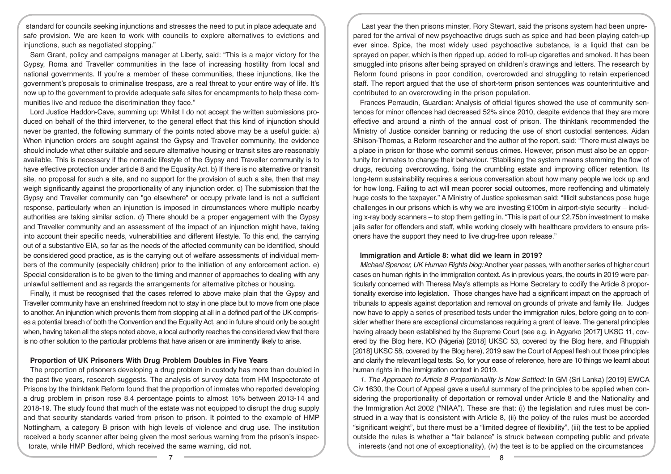standard for councils seeking injunctions and stresses the need to put in place adequate and safe provision. We are keen to work with councils to explore alternatives to evictions and injunctions, such as negotiated stopping."

Sam Grant, policy and campaigns manager at Liberty, said: "This is a major victory for the Gypsy, Roma and Traveller communities in the face of increasing hostility from local and national governments. If you're a member of these communities, these injunctions, like the government's proposals to criminalise trespass, are a real threat to your entire way of life. It's now up to the government to provide adequate safe sites for encampments to help these communities live and reduce the discrimination they face."

Lord Justice Haddon-Cave, summing up: Whilst I do not accept the written submissions produced on behalf of the third intervener, to the general effect that this kind of injunction should never be granted, the following summary of the points noted above may be a useful guide: a) When injunction orders are sought against the Gypsy and Traveller community, the evidence should include what other suitable and secure alternative housing or transit sites are reasonably available. This is necessary if the nomadic lifestyle of the Gypsy and Traveller community is to have effective protection under article 8 and the Equality Act. b) If there is no alternative or transit site, no proposal for such a site, and no support for the provision of such a site, then that may weigh significantly against the proportionality of any injunction order. c) The submission that the Gypsy and Traveller community can "go elsewhere" or occupy private land is not a sufficient response, particularly when an injunction is imposed in circumstances where multiple nearby authorities are taking similar action. d) There should be a proper engagement with the Gypsy and Traveller community and an assessment of the impact of an injunction might have, taking into account their specific needs, vulnerabilities and different lifestyle. To this end, the carrying out of a substantive EIA, so far as the needs of the affected community can be identified, should be considered good practice, as is the carrying out of welfare assessments of individual members of the community (especially children) prior to the initiation of any enforcement action. e) Special consideration is to be given to the timing and manner of approaches to dealing with any unlawful settlement and as regards the arrangements for alternative pitches or housing.

Finally, it must be recognised that the cases referred to above make plain that the Gypsy and Traveller community have an enshrined freedom not to stay in one place but to move from one place to another. An injunction which prevents them from stopping at all in a defined part of the UK comprises a potential breach of both the Convention and the Equality Act, and in future should only be sought when, having taken all the steps noted above, a local authority reaches the considered view that there is no other solution to the particular problems that have arisen or are imminently likely to arise.

## **Proportion of UK Prisoners With Drug Problem Doubles in Five Years**

The proportion of prisoners developing a drug problem in custody has more than doubled in the past five years, research suggests. The analysis of survey data from HM Inspectorate of Prisons by the thinktank Reform found that the proportion of inmates who reported developing a drug problem in prison rose 8.4 percentage points to almost 15% between 2013-14 and 2018-19. The study found that much of the estate was not equipped to disrupt the drug supply and that security standards varied from prison to prison. It pointed to the example of HMP Nottingham, a category B prison with high levels of violence and drug use. The institution received a body scanner after being given the most serious warning from the prison's inspectorate, while HMP Bedford, which received the same warning, did not.

Last year the then prisons minster, Rory Stewart, said the prisons system had been unprepared for the arrival of new psychoactive drugs such as spice and had been playing catch-up ever since. Spice, the most widely used psychoactive substance, is a liquid that can be sprayed on paper, which is then ripped up, added to roll-up cigarettes and smoked. It has been smuggled into prisons after being sprayed on children's drawings and letters. The research by Reform found prisons in poor condition, overcrowded and struggling to retain experienced staff. The report argued that the use of short-term prison sentences was counterintuitive and contributed to an overcrowding in the prison population.

Frances Perraudin, Guardian: Analysis of official figures showed the use of community sentences for minor offences had decreased 52% since 2010, despite evidence that they are more effective and around a ninth of the annual cost of prison. The thinktank recommended the Ministry of Justice consider banning or reducing the use of short custodial sentences. Aidan Shilson-Thomas, a Reform researcher and the author of the report, said: "There must always be a place in prison for those who commit serious crimes. However, prison must also be an opportunity for inmates to change their behaviour. "Stabilising the system means stemming the flow of drugs, reducing overcrowding, fixing the crumbling estate and improving officer retention. Its long-term sustainability requires a serious conversation about how many people we lock up and for how long. Failing to act will mean poorer social outcomes, more reoffending and ultimately huge costs to the taxpayer." A Ministry of Justice spokesman said: "Illicit substances pose huge challenges in our prisons which is why we are investing £100m in airport-style security – including x-ray body scanners – to stop them getting in. "This is part of our £2.75bn investment to make jails safer for offenders and staff, while working closely with healthcare providers to ensure prisoners have the support they need to live drug-free upon release."

## **Immigration and Article 8: what did we learn in 2019?**

Michael Spencer, UK Human Rights blog: Another year passes, with another series of higher court cases on human rights in the immigration context. As in previous years, the courts in 2019 were particularly concerned with Theresa May's attempts as Home Secretary to codify the Article 8 proportionality exercise into legislation. Those changes have had a significant impact on the approach of tribunals to appeals against deportation and removal on grounds of private and family life. Judges now have to apply a series of prescribed tests under the immigration rules, before going on to consider whether there are exceptional circumstances requiring a grant of leave. The general principles having already been established by the Supreme Court (see e.g. in Agyarko [2017] UKSC 11, covered by the Blog here, KO (Nigeria) [2018] UKSC 53, covered by the Blog here, and Rhuppiah [2018] UKSC 58, covered by the Blog here), 2019 saw the Court of Appeal flesh out those principles and clarify the relevant legal tests. So, for your ease of reference, here are 10 things we learnt about human rights in the immigration context in 2019.

1. The Approach to Article 8 Proportionality is Now Settled: In GM (Sri Lanka) [2019] EWCA Civ 1630, the Court of Appeal gave a useful summary of the principles to be applied when considering the proportionality of deportation or removal under Article 8 and the Nationality and the Immigration Act 2002 ("NIAA"). These are that: (i) the legislation and rules must be construed in a way that is consistent with Article 8, (ii) the policy of the rules must be accorded "significant weight", but there must be a "limited degree of flexibility", (iii) the test to be applied outside the rules is whether a "fair balance" is struck between competing public and private interests (and not one of exceptionality), (iv) the test is to be applied on the circumstances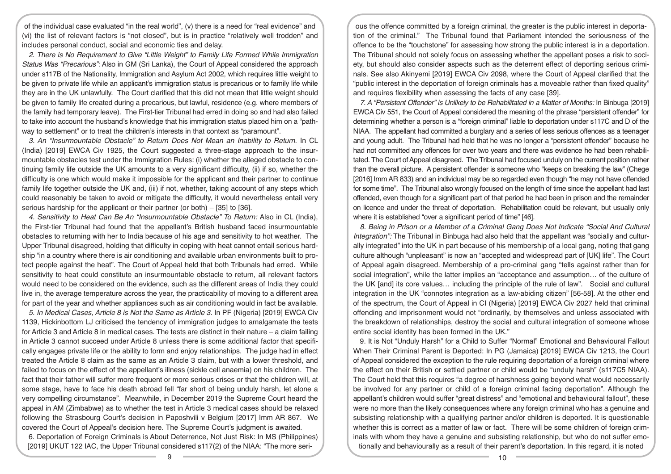of the individual case evaluated "in the real world", (v) there is a need for "real evidence" and (vi) the list of relevant factors is "not closed", but is in practice "relatively well trodden" and includes personal conduct, social and economic ties and delay.

2. There is No Requirement to Give "Little Weight" to Family Life Formed While Immigration Status Was "Precarious": Also in GM (Sri Lanka), the Court of Appeal considered the approach under s117B of the Nationality, Immigration and Asylum Act 2002, which requires little weight to be given to private life while an applicant's immigration status is precarious or to family life while they are in the UK unlawfully. The Court clarified that this did not mean that little weight should be given to family life created during a precarious, but lawful, residence (e.g. where members of the family had temporary leave). The First-tier Tribunal had erred in doing so and had also failed to take into account the husband's knowledge that his immigration status placed him on a "pathway to settlement" or to treat the children's interests in that context as "paramount".

3. An "Insurmountable Obstacle" to Return Does Not Mean an Inability to Return. In CL (India) [2019] EWCA Civ 1925, the Court suggested a three-stage approach to the insurmountable obstacles test under the Immigration Rules: (i) whether the alleged obstacle to continuing family life outside the UK amounts to a very significant difficulty, (ii) if so, whether the difficulty is one which would make it impossible for the applicant and their partner to continue family life together outside the UK and, (iii) if not, whether, taking account of any steps which could reasonably be taken to avoid or mitigate the difficulty, it would nevertheless entail very serious hardship for the applicant or their partner (or both) – [35] to [36].

4. Sensitivity to Heat Can Be An "Insurmountable Obstacle" To Return: Also in CL (India), the First-tier Tribunal had found that the appellant's British husband faced insurmountable obstacles to returning with her to India because of his age and sensitivity to hot weather. The Upper Tribunal disagreed, holding that difficulty in coping with heat cannot entail serious hardship "in a country where there is air conditioning and available urban environments built to protect people against the heat". The Court of Appeal held that both Tribunals had erred. While sensitivity to heat could constitute an insurmountable obstacle to return, all relevant factors would need to be considered on the evidence, such as the different areas of India they could live in, the average temperature across the year, the practicability of moving to a different area for part of the year and whether appliances such as air conditioning would in fact be available.

5. In Medical Cases, Article 8 is Not the Same as Article 3. In PF (Nigeria) [2019] EWCA Civ 1139, Hickinbottom LJ criticised the tendency of immigration judges to amalgamate the tests for Article 3 and Article 8 in medical cases. The tests are distinct in their nature – a claim failing in Article 3 cannot succeed under Article 8 unless there is some additional factor that specifically engages private life or the ability to form and enjoy relationships. The judge had in effect treated the Article 8 claim as the same as an Article 3 claim, but with a lower threshold, and failed to focus on the effect of the appellant's illness (sickle cell anaemia) on his children. The fact that their father will suffer more frequent or more serious crises or that the children will, at some stage, have to face his death abroad fell "far short of being unduly harsh, let alone a very compelling circumstance". Meanwhile, in December 2019 the Supreme Court heard the appeal in AM (Zimbabwe) as to whether the test in Article 3 medical cases should be relaxed following the Strasbourg Court's decision in Paposhvili v Belgium [2017] Imm AR 867. We covered the Court of Appeal's decision here. The Supreme Court's judgment is awaited.

6. Deportation of Foreign Criminals is About Deterrence, Not Just Risk: In MS (Philippines) [2019] UKUT 122 IAC, the Upper Tribunal considered s117(2) of the NIAA: "The more seri-

ous the offence committed by a foreign criminal, the greater is the public interest in deportation of the criminal." The Tribunal found that Parliament intended the seriousness of the offence to be the "touchstone" for assessing how strong the public interest is in a deportation. The Tribunal should not solely focus on assessing whether the appellant poses a risk to society, but should also consider aspects such as the deterrent effect of deporting serious criminals. See also Akinyemi [2019] EWCA Civ 2098, where the Court of Appeal clarified that the "public interest in the deportation of foreign criminals has a moveable rather than fixed quality" and requires flexibility when assessing the facts of any case [39].

7. A "Persistent Offender" is Unlikely to be Rehabilitated in a Matter of Months: In Binbuga [2019] EWCA Civ 551, the Court of Appeal considered the meaning of the phrase "persistent offender" for determining whether a person is a "foreign criminal" liable to deportation under s117C and D of the NIAA. The appellant had committed a burglary and a series of less serious offences as a teenager and young adult. The Tribunal had held that he was no longer a "persistent offender" because he had not committed any offences for over two years and there was evidence he had been rehabilitated. The Court of Appeal disagreed. The Tribunal had focused unduly on the current position rather than the overall picture. A persistent offender is someone who "keeps on breaking the law" (Chege [2016] Imm AR 833) and an individual may be so regarded even though "he may not have offended for some time". The Tribunal also wrongly focused on the length of time since the appellant had last offended, even though for a significant part of that period he had been in prison and the remainder on licence and under the threat of deportation. Rehabilitation could be relevant, but usually only where it is established "over a significant period of time" [46].

8. Being in Prison or a Member of a Criminal Gang Does Not Indicate "Social And Cultural Integration": The Tribunal in Binbuga had also held that the appellant was "socially and culturally integrated" into the UK in part because of his membership of a local gang, noting that gang culture although "unpleasant" is now an "accepted and widespread part of [UK] life". The Court of Appeal again disagreed. Membership of a pro-criminal gang "tells against rather than for social integration", while the latter implies an "acceptance and assumption… of the culture of the UK [and] its core values… including the principle of the rule of law". Social and cultural integration in the UK "connotes integration as a law-abiding citizen" [56-58]. At the other end of the spectrum, the Court of Appeal in CI (Nigeria) [2019] EWCA Civ 2027 held that criminal offending and imprisonment would not "ordinarily, by themselves and unless associated with the breakdown of relationships, destroy the social and cultural integration of someone whose entire social identity has been formed in the UK."

9. It is Not "Unduly Harsh" for a Child to Suffer "Normal" Emotional and Behavioural Fallout When Their Criminal Parent is Deported: In PG (Jamaica) [2019] EWCA Civ 1213, the Court of Appeal considered the exception to the rule requiring deportation of a foreign criminal where the effect on their British or settled partner or child would be "unduly harsh" (s117C5 NIAA). The Court held that this requires "a degree of harshness going beyond what would necessarily be involved for any partner or child of a foreign criminal facing deportation". Although the appellant's children would suffer "great distress" and "emotional and behavioural fallout", these were no more than the likely consequences where any foreign criminal who has a genuine and subsisting relationship with a qualifying partner and/or children is deported. It is questionable whether this is correct as a matter of law or fact. There will be some children of foreign criminals with whom they have a genuine and subsisting relationship, but who do not suffer emotionally and behaviourally as a result of their parent's deportation. In this regard, it is noted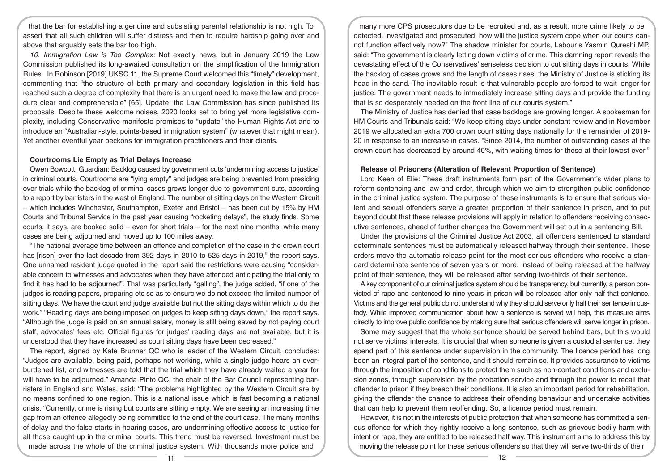that the bar for establishing a genuine and subsisting parental relationship is not high. To assert that all such children will suffer distress and then to require hardship going over and above that arguably sets the bar too high.

10. Immigration Law is Too Complex: Not exactly news, but in January 2019 the Law Commission published its long-awaited consultation on the simplification of the Immigration Rules. In Robinson [2019] UKSC 11, the Supreme Court welcomed this "timely" development, commenting that "the structure of both primary and secondary legislation in this field has reached such a degree of complexity that there is an urgent need to make the law and procedure clear and comprehensible" [65]. Update: the Law Commission has since published its proposals. Despite these welcome noises, 2020 looks set to bring yet more legislative complexity, including Conservative manifesto promises to "update" the Human Rights Act and to introduce an "Australian-style, points-based immigration system" (whatever that might mean). Yet another eventful year beckons for immigration practitioners and their clients.

#### **Courtrooms Lie Empty as Trial Delays Increase**

Owen Bowcott, Guardian: Backlog caused by government cuts 'undermining access to justice' in criminal courts. Courtrooms are "lying empty" and judges are being prevented from presiding over trials while the backlog of criminal cases grows longer due to government cuts, according to a report by barristers in the west of England. The number of sitting days on the Western Circuit – which includes Winchester, Southampton, Exeter and Bristol – has been cut by 15% by HM Courts and Tribunal Service in the past year causing "rocketing delays", the study finds. Some courts, it says, are booked solid – even for short trials – for the next nine months, while many cases are being adjourned and moved up to 100 miles away.

"The national average time between an offence and completion of the case in the crown court has [risen] over the last decade from 392 days in 2010 to 525 days in 2019," the report says. One unnamed resident judge quoted in the report said the restrictions were causing "considerable concern to witnesses and advocates when they have attended anticipating the trial only to find it has had to be adjourned". That was particularly "galling", the judge added, "if one of the judges is reading papers, preparing etc so as to ensure we do not exceed the limited number of sitting days. We have the court and judge available but not the sitting days within which to do the work." "Reading days are being imposed on judges to keep sitting days down," the report says. "Although the judge is paid on an annual salary, money is still being saved by not paying court staff, advocates' fees etc. Official figures for judges' reading days are not available, but it is understood that they have increased as court sitting days have been decreased."

The report, signed by Kate Brunner QC who is leader of the Western Circuit, concludes: "Judges are available, being paid, perhaps not working, while a single judge hears an overburdened list, and witnesses are told that the trial which they have already waited a year for will have to be adjourned." Amanda Pinto QC, the chair of the Bar Council representing barristers in England and Wales, said: "The problems highlighted by the Western Circuit are by no means confined to one region. This is a national issue which is fast becoming a national crisis. "Currently, crime is rising but courts are sitting empty. We are seeing an increasing time gap from an offence allegedly being committed to the end of the court case. The many months of delay and the false starts in hearing cases, are undermining effective access to justice for all those caught up in the criminal courts. This trend must be reversed. Investment must be made across the whole of the criminal justice system. With thousands more police and

many more CPS prosecutors due to be recruited and, as a result, more crime likely to be detected, investigated and prosecuted, how will the justice system cope when our courts cannot function effectively now?" The shadow minister for courts, Labour's Yasmin Qureshi MP, said: "The government is clearly letting down victims of crime. This damning report reveals the devastating effect of the Conservatives' senseless decision to cut sitting days in courts. While the backlog of cases grows and the length of cases rises, the Ministry of Justice is sticking its head in the sand. The inevitable result is that vulnerable people are forced to wait longer for justice. The government needs to immediately increase sitting days and provide the funding that is so desperately needed on the front line of our courts system."

The Ministry of Justice has denied that case backlogs are growing longer. A spokesman for HM Courts and Tribunals said: "We keep sitting days under constant review and in November 2019 we allocated an extra 700 crown court sitting days nationally for the remainder of 2019- 20 in response to an increase in cases. "Since 2014, the number of outstanding cases at the crown court has decreased by around 40%, with waiting times for these at their lowest ever."

#### **Release of Prisoners (Alteration of Relevant Proportion of Sentence)**

Lord Keen of Elie: These draft instruments form part of the Government's wider plans to reform sentencing and law and order, through which we aim to strengthen public confidence in the criminal justice system. The purpose of these instruments is to ensure that serious violent and sexual offenders serve a greater proportion of their sentence in prison, and to put beyond doubt that these release provisions will apply in relation to offenders receiving consecutive sentences, ahead of further changes the Government will set out in a sentencing Bill.

Under the provisions of the Criminal Justice Act 2003, all offenders sentenced to standard determinate sentences must be automatically released halfway through their sentence. These orders move the automatic release point for the most serious offenders who receive a standard determinate sentence of seven years or more. Instead of being released at the halfway point of their sentence, they will be released after serving two-thirds of their sentence.

A key component of our criminal justice system should be transparency, but currently, a person convicted of rape and sentenced to nine years in prison will be released after only half that sentence. Victims and the general public do not understand why they should serve only half their sentence in custody. While improved communication about how a sentence is served will help, this measure aims directly to improve public confidence by making sure that serious offenders will serve longer in prison.

Some may suggest that the whole sentence should be served behind bars, but this would not serve victims' interests. It is crucial that when someone is given a custodial sentence, they spend part of this sentence under supervision in the community. The licence period has long been an integral part of the sentence, and it should remain so. It provides assurance to victims through the imposition of conditions to protect them such as non-contact conditions and exclusion zones, through supervision by the probation service and through the power to recall that offender to prison if they breach their conditions. It is also an important period for rehabilitation, giving the offender the chance to address their offending behaviour and undertake activities that can help to prevent them reoffending. So, a licence period must remain.

However, it is not in the interests of public protection that when someone has committed a serious offence for which they rightly receive a long sentence, such as grievous bodily harm with intent or rape, they are entitled to be released half way. This instrument aims to address this by moving the release point for these serious offenders so that they will serve two-thirds of their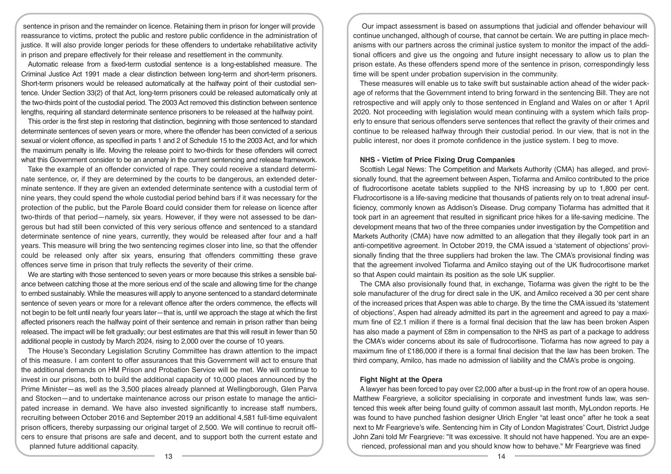sentence in prison and the remainder on licence. Retaining them in prison for longer will provide reassurance to victims, protect the public and restore public confidence in the administration of justice. It will also provide longer periods for these offenders to undertake rehabilitative activity in prison and prepare effectively for their release and resettlement in the community.

Automatic release from a fixed-term custodial sentence is a long-established measure. The Criminal Justice Act 1991 made a clear distinction between long-term and short-term prisoners. Short-term prisoners would be released automatically at the halfway point of their custodial sentence. Under Section 33(2) of that Act, long-term prisoners could be released automatically only at the two-thirds point of the custodial period. The 2003 Act removed this distinction between sentence lengths, requiring all standard determinate sentence prisoners to be released at the halfway point.

This order is the first step in restoring that distinction, beginning with those sentenced to standard determinate sentences of seven years or more, where the offender has been convicted of a serious sexual or violent offence, as specified in parts 1 and 2 of Schedule 15 to the 2003 Act, and for which the maximum penalty is life. Moving the release point to two-thirds for these offenders will correct what this Government consider to be an anomaly in the current sentencing and release framework.

Take the example of an offender convicted of rape. They could receive a standard determinate sentence, or, if they are determined by the courts to be dangerous, an extended determinate sentence. If they are given an extended determinate sentence with a custodial term of nine years, they could spend the whole custodial period behind bars if it was necessary for the protection of the public, but the Parole Board could consider them for release on licence after two-thirds of that period—namely, six years. However, if they were not assessed to be dangerous but had still been convicted of this very serious offence and sentenced to a standard determinate sentence of nine years, currently, they would be released after four and a half years. This measure will bring the two sentencing regimes closer into line, so that the offender could be released only after six years, ensuring that offenders committing these grave offences serve time in prison that truly reflects the severity of their crime.

We are starting with those sentenced to seven years or more because this strikes a sensible balance between catching those at the more serious end of the scale and allowing time for the change to embed sustainably. While the measures will apply to anyone sentenced to a standard determinate sentence of seven years or more for a relevant offence after the orders commence, the effects will not begin to be felt until nearly four years later—that is, until we approach the stage at which the first affected prisoners reach the halfway point of their sentence and remain in prison rather than being released. The impact will be felt gradually; our best estimates are that this will result in fewer than 50 additional people in custody by March 2024, rising to 2,000 over the course of 10 years.

The House's Secondary Legislation Scrutiny Committee has drawn attention to the impact of this measure. I am content to offer assurances that this Government will act to ensure that the additional demands on HM Prison and Probation Service will be met. We will continue to invest in our prisons, both to build the additional capacity of 10,000 places announced by the Prime Minister—as well as the 3,500 places already planned at Wellingborough, Glen Parva and Stocken—and to undertake maintenance across our prison estate to manage the anticipated increase in demand. We have also invested significantly to increase staff numbers, recruiting between October 2016 and September 2019 an additional 4,581 full-time equivalent prison officers, thereby surpassing our original target of 2,500. We will continue to recruit officers to ensure that prisons are safe and decent, and to support both the current estate and planned future additional capacity.

Our impact assessment is based on assumptions that judicial and offender behaviour will continue unchanged, although of course, that cannot be certain. We are putting in place mechanisms with our partners across the criminal justice system to monitor the impact of the additional officers and give us the ongoing and future insight necessary to allow us to plan the prison estate. As these offenders spend more of the sentence in prison, correspondingly less time will be spent under probation supervision in the community.

These measures will enable us to take swift but sustainable action ahead of the wider package of reforms that the Government intend to bring forward in the sentencing Bill. They are not retrospective and will apply only to those sentenced in England and Wales on or after 1 April 2020. Not proceeding with legislation would mean continuing with a system which fails properly to ensure that serious offenders serve sentences that reflect the gravity of their crimes and continue to be released halfway through their custodial period. In our view, that is not in the public interest, nor does it promote confidence in the justice system. I beg to move.

### **NHS - Victim of Price Fixing Drug Companies**

Scottish Legal News: The Competition and Markets Authority (CMA) has alleged, and provisionally found, that the agreement between Aspen, Tiofarma and Amilco contributed to the price of fludrocortisone acetate tablets supplied to the NHS increasing by up to 1,800 per cent. Fludrocortisone is a life-saving medicine that thousands of patients rely on to treat adrenal insufficiency, commonly known as Addison's Disease. Drug company Tiofarma has admitted that it took part in an agreement that resulted in significant price hikes for a life-saving medicine. The development means that two of the three companies under investigation by the Competition and Markets Authority (CMA) have now admitted to an allegation that they illegally took part in an anti-competitive agreement. In October 2019, the CMA issued a 'statement of objections' provisionally finding that the three suppliers had broken the law. The CMA's provisional finding was that the agreement involved Tiofarma and Amilco staying out of the UK fludrocortisone market so that Aspen could maintain its position as the sole UK supplier.

The CMA also provisionally found that, in exchange, Tiofarma was given the right to be the sole manufacturer of the drug for direct sale in the UK, and Amilco received a 30 per cent share of the increased prices that Aspen was able to charge. By the time the CMA issued its 'statement of objections', Aspen had already admitted its part in the agreement and agreed to pay a maximum fine of £2.1 million if there is a formal final decision that the law has been broken Aspen has also made a payment of £8m in compensation to the NHS as part of a package to address the CMA's wider concerns about its sale of fludrocortisone. Tiofarma has now agreed to pay a maximum fine of £186,000 if there is a formal final decision that the law has been broken. The third company, Amilco, has made no admission of liability and the CMA's probe is ongoing.

### **Fight Night at the Opera**

A lawyer has been forced to pay over £2,000 after a bust-up in the front row of an opera house. Matthew Feargrieve, a solicitor specialising in corporate and investment funds law, was sentenced this week after being found guilty of common assault last month, MyLondon reports. He was found to have punched fashion designer Ulrich Engler "at least once" after he took a seat next to Mr Feargrieve's wife. Sentencing him in City of London Magistrates' Court, District Judge John Zani told Mr Feargrieve: "It was excessive. It should not have happened. You are an experienced, professional man and you should know how to behave." Mr Feargrieve was fined